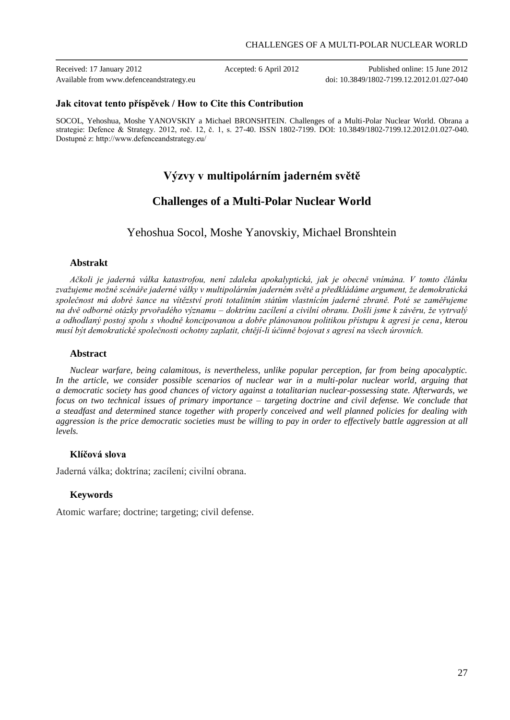Received: 17 January 2012 Accepted: 6 April 2012 Published online: 15 June 2012 Available from www.defenceandstrategy.eu doi: 10.3849/1802-7199.12.2012.01.027-040

### **Jak citovat tento příspěvek / How to Cite this Contribution**

SOCOL, Yehoshua, Moshe YANOVSKIY a Michael BRONSHTEIN. Challenges of a Multi-Polar Nuclear World. Obrana a strategie: Defence & Strategy. 2012, roč. 12, č. 1, s. 27-40. ISSN 1802-7199. DOI: 10.3849/1802-7199.12.2012.01.027-040. Dostupné z: http://www.defenceandstrategy.eu/

# **Výzvy v multipolárním jaderném světě**

# **Challenges of a Multi-Polar Nuclear World**

Yehoshua Socol, Moshe Yanovskiy, Michael Bronshtein

# **Abstrakt**

*Ačkoli je jaderná válka katastrofou, není zdaleka apokalyptická, jak je obecně vnímána. V tomto článku zvažujeme možné scénáře jaderné války v multipolárním jaderném světě a předkládáme argument, že demokratická společnost má dobré šance na vítězství proti totalitním státům vlastnícím jaderné zbraně. Poté se zaměřujeme na dvě odborné otázky prvořadého významu – doktrínu zacílení a civilní obranu. Došli jsme k závěru, že vytrvalý a odhodlaný postoj spolu s vhodně koncipovanou a dobře plánovanou politikou přístupu k agresi je cena, kterou musí být demokratické společnosti ochotny zaplatit, chtějí-li účinně bojovat s agresí na všech úrovních.*

### **Abstract**

*Nuclear warfare, being calamitous, is nevertheless, unlike popular perception, far from being apocalyptic. In the article, we consider possible scenarios of nuclear war in a multi-polar nuclear world, arguing that a democratic society has good chances of victory against a totalitarian nuclear-possessing state. Afterwards, we focus on two technical issues of primary importance – targeting doctrine and civil defense. We conclude that a steadfast and determined stance together with properly conceived and well planned policies for dealing with aggression is the price democratic societies must be willing to pay in order to effectively battle aggression at all levels.*

## **Klíčová slova**

Jaderná válka; doktrína; zacílení; civilní obrana.

## **Keywords**

Atomic warfare; doctrine; targeting; civil defense.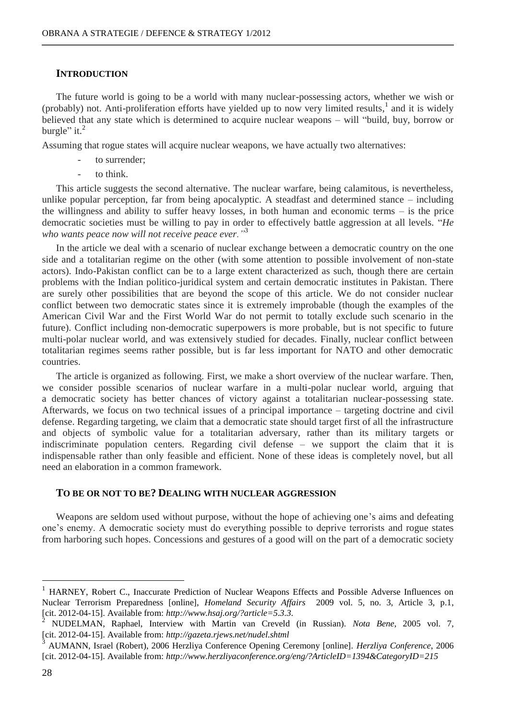# **INTRODUCTION**

The future world is going to be a world with many nuclear-possessing actors, whether we wish or (probably) not. Anti-proliferation efforts have yielded up to now very limited results, 1 and it is widely believed that any state which is determined to acquire nuclear weapons – will "build, buy, borrow or burgle" it. $^2$ 

Assuming that rogue states will acquire nuclear weapons, we have actually two alternatives:

- to surrender;
- to think

This article suggests the second alternative. The nuclear warfare, being calamitous, is nevertheless, unlike popular perception, far from being apocalyptic. A steadfast and determined stance – including the willingness and ability to suffer heavy losses, in both human and economic terms – is the price democratic societies must be willing to pay in order to effectively battle aggression at all levels. "*He who wants peace now will not receive peace ever."*<sup>3</sup>

In the article we deal with a scenario of nuclear exchange between a democratic country on the one side and a totalitarian regime on the other (with some attention to possible involvement of non-state actors). Indo-Pakistan conflict can be to a large extent characterized as such, though there are certain problems with the Indian politico-juridical system and certain democratic institutes in Pakistan. There are surely other possibilities that are beyond the scope of this article. We do not consider nuclear conflict between two democratic states since it is extremely improbable (though the examples of the American Civil War and the First World War do not permit to totally exclude such scenario in the future). Conflict including non-democratic superpowers is more probable, but is not specific to future multi-polar nuclear world, and was extensively studied for decades. Finally, nuclear conflict between totalitarian regimes seems rather possible, but is far less important for NATO and other democratic countries.

The article is organized as following. First, we make a short overview of the nuclear warfare. Then, we consider possible scenarios of nuclear warfare in a multi-polar nuclear world, arguing that a democratic society has better chances of victory against a totalitarian nuclear-possessing state. Afterwards, we focus on two technical issues of a principal importance – targeting doctrine and civil defense. Regarding targeting, we claim that a democratic state should target first of all the infrastructure and objects of symbolic value for a totalitarian adversary, rather than its military targets or indiscriminate population centers. Regarding civil defense – we support the claim that it is indispensable rather than only feasible and efficient. None of these ideas is completely novel, but all need an elaboration in a common framework.

# **TO BE OR NOT TO BE? DEALING WITH NUCLEAR AGGRESSION**

Weapons are seldom used without purpose, without the hope of achieving one's aims and defeating one's enemy. A democratic society must do everything possible to deprive terrorists and rogue states from harboring such hopes. Concessions and gestures of a good will on the part of a democratic society

<sup>1</sup> HARNEY, Robert C., Inaccurate Prediction of Nuclear Weapons Effects and Possible Adverse Influences on Nuclear Terrorism Preparedness [online], *Homeland Security Affairs* 2009 vol. 5, no. 3, Article 3, p.1, [cit. 2012-04-15]. Available from: *http://www.hsaj.org/?article=5.3.3.*

<sup>2</sup> NUDELMAN, Raphael, Interview with Martin van Creveld (in Russian). *Nota Bene*, 2005 vol. 7, [cit. 2012-04-15]. Available from: *http://gazeta.rjews.net/nudel.shtml*

<sup>3</sup> AUMANN, Israel (Robert), 2006 Herzliya Conference Opening Ceremony [online]. *Herzliya Conference*, 2006 [cit. 2012-04-15]. Available from: *http://www.herzliyaconference.org/eng/?ArticleID=1394&CategoryID=215*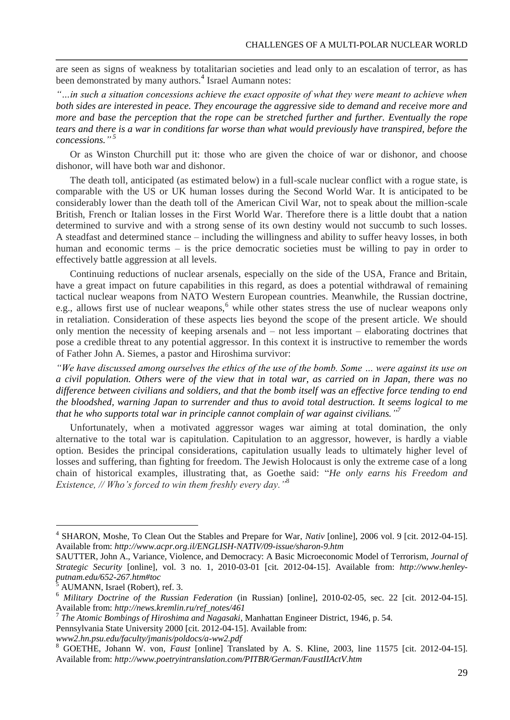are seen as signs of weakness by totalitarian societies and lead only to an escalation of terror, as has been demonstrated by many authors.<sup>4</sup> Israel Aumann notes:

*"…in such a situation concessions achieve the exact opposite of what they were meant to achieve when both sides are interested in peace. They encourage the aggressive side to demand and receive more and more and base the perception that the rope can be stretched further and further. Eventually the rope tears and there is a war in conditions far worse than what would previously have transpired, before the concessions." 5*

Or as Winston Churchill put it: those who are given the choice of war or dishonor, and choose dishonor, will have both war and dishonor.

The death toll, anticipated (as estimated below) in a full-scale nuclear conflict with a rogue state, is comparable with the US or UK human losses during the Second World War. It is anticipated to be considerably lower than the death toll of the American Civil War, not to speak about the million-scale British, French or Italian losses in the First World War. Therefore there is a little doubt that a nation determined to survive and with a strong sense of its own destiny would not succumb to such losses. A steadfast and determined stance – including the willingness and ability to suffer heavy losses, in both human and economic terms – is the price democratic societies must be willing to pay in order to effectively battle aggression at all levels.

Continuing reductions of nuclear arsenals, especially on the side of the USA, France and Britain, have a great impact on future capabilities in this regard, as does a potential withdrawal of remaining tactical nuclear weapons from NATO Western European countries. Meanwhile, the Russian doctrine, e.g., allows first use of nuclear weapons,<sup>6</sup> while other states stress the use of nuclear weapons only in retaliation. Consideration of these aspects lies beyond the scope of the present article. We should only mention the necessity of keeping arsenals and – not less important – elaborating doctrines that pose a credible threat to any potential aggressor. In this context it is instructive to remember the words of Father John A. Siemes, a pastor and Hiroshima survivor:

*"We have discussed among ourselves the ethics of the use of the bomb. Some … were against its use on a civil population. Others were of the view that in total war, as carried on in Japan, there was no difference between civilians and soldiers, and that the bomb itself was an effective force tending to end the bloodshed, warning Japan to surrender and thus to avoid total destruction. It seems logical to me that he who supports total war in principle cannot complain of war against civilians." 7*

Unfortunately, when a motivated aggressor wages war aiming at total domination, the only alternative to the total war is capitulation. Capitulation to an aggressor, however, is hardly a viable option. Besides the principal considerations, capitulation usually leads to ultimately higher level of losses and suffering, than fighting for freedom. The Jewish Holocaust is only the extreme case of a long chain of historical examples, illustrating that, as Goethe said: "*He only earns his Freedom and Existence, // Who's forced to win them freshly every day."*<sup>8</sup>

<sup>4</sup> SHARON, Moshe, To Clean Out the Stables and Prepare for War, *Nativ* [online], 2006 vol. 9 [cit. 2012-04-15]. Available from: *http://www.acpr.org.il/ENGLISH-NATIV/09-issue/sharon-9.htm*

SAUTTER, John A., Variance, Violence, and Democracy: A Basic Microeconomic Model of Terrorism*, Journal of Strategic Security* [online], vol. 3 no. 1, 2010-03-01 [cit. 2012-04-15]. Available from: *[http://www.henley](http://www.henley-putnam.edu/652-267.htm#toc)[putnam.edu/652-267.htm#toc](http://www.henley-putnam.edu/652-267.htm#toc)*

<sup>5</sup> AUMANN, Israel (Robert), ref. 3.

<sup>6</sup> *Military Doctrine of the Russian Federation* (in Russian) [online], 2010-02-05, sec. 22 [cit. 2012-04-15]. Available from: *http://news.kremlin.ru/ref\_notes/461* 7

*The Atomic Bombings of Hiroshima and Nagasaki*, Manhattan Engineer District, 1946, p. 54.

Pennsylvania State University 2000 [cit. 2012-04-15]. Available from:

*www2.hn.psu.edu/faculty/jmanis/poldocs/a-ww2.pdf*

<sup>8</sup> GOETHE, Johann W. von, *Faust* [online] Translated by A. S. Kline, 2003, line 11575 [cit. 2012-04-15]. Available from: *http://www.poetryintranslation.com/PITBR/German/FaustIIActV.htm*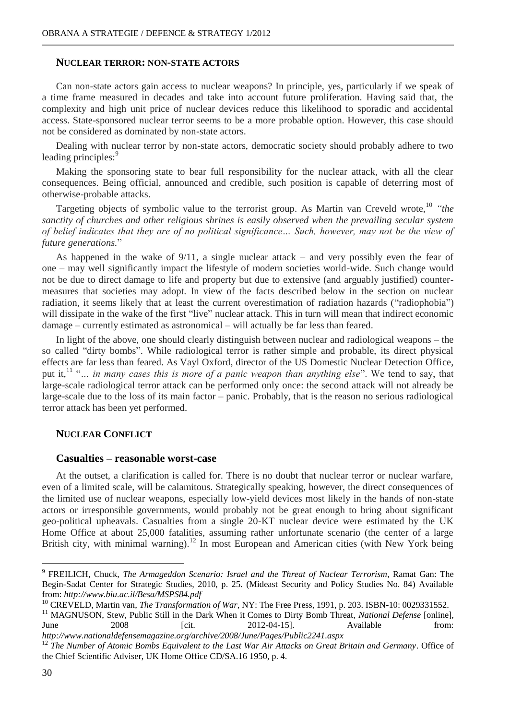### **NUCLEAR TERROR: NON-STATE ACTORS**

Can non-state actors gain access to nuclear weapons? In principle, yes, particularly if we speak of a time frame measured in decades and take into account future proliferation. Having said that, the complexity and high unit price of nuclear devices reduce this likelihood to sporadic and accidental access. State-sponsored nuclear terror seems to be a more probable option. However, this case should not be considered as dominated by non-state actors.

Dealing with nuclear terror by non-state actors, democratic society should probably adhere to two leading principles:<sup>9</sup>

Making the sponsoring state to bear full responsibility for the nuclear attack, with all the clear consequences. Being official, announced and credible, such position is capable of deterring most of otherwise-probable attacks.

Targeting objects of symbolic value to the terrorist group. As Martin van Creveld wrote,<sup>10</sup> "the *sanctity of churches and other religious shrines is easily observed when the prevailing secular system of belief indicates that they are of no political significance… Such, however, may not be the view of future generations.*"

As happened in the wake of 9/11, a single nuclear attack – and very possibly even the fear of one – may well significantly impact the lifestyle of modern societies world-wide. Such change would not be due to direct damage to life and property but due to extensive (and arguably justified) countermeasures that societies may adopt. In view of the facts described below in the section on nuclear radiation, it seems likely that at least the current overestimation of radiation hazards ("radiophobia") will dissipate in the wake of the first "live" nuclear attack. This in turn will mean that indirect economic damage – currently estimated as astronomical – will actually be far less than feared.

In light of the above, one should clearly distinguish between nuclear and radiological weapons – the so called "dirty bombs". While radiological terror is rather simple and probable, its direct physical effects are far less than feared. As Vayl Oxford, director of the US Domestic Nuclear Detection Office, put it,<sup>11</sup> "... in many cases this is more of a panic weapon than anything else". We tend to say, that large-scale radiological terror attack can be performed only once: the second attack will not already be large-scale due to the loss of its main factor – panic. Probably, that is the reason no serious radiological terror attack has been yet performed.

### **NUCLEAR CONFLICT**

#### **Casualties – reasonable worst-case**

At the outset, a clarification is called for. There is no doubt that nuclear terror or nuclear warfare, even of a limited scale, will be calamitous. Strategically speaking, however, the direct consequences of the limited use of nuclear weapons, especially low-yield devices most likely in the hands of non-state actors or irresponsible governments, would probably not be great enough to bring about significant geo-political upheavals. Casualties from a single 20-KT nuclear device were estimated by the UK Home Office at about 25,000 fatalities, assuming rather unfortunate scenario (the center of a large British city, with minimal warning).<sup>12</sup> In most European and American cities (with New York being

<sup>9</sup> FREILICH, Chuck, *The Armageddon Scenario: Israel and the Threat of Nuclear Terrorism*, Ramat Gan: The Begin-Sadat Center for Strategic Studies, 2010, p. 25. (Mideast Security and Policy Studies No. 84) Available from: *http://www.biu.ac.il/Besa/MSPS84.pdf*

<sup>&</sup>lt;sup>10</sup> CREVELD, Martin van, *The Transformation of War*, NY: The Free Press, 1991, p. 203. ISBN-10: 0029331552.

<sup>&</sup>lt;sup>11</sup> MAGNUSON, Stew, Public Still in the Dark When it Comes to Dirty Bomb Threat, *National Defense* [online], June 2008 [cit. 2012-04-15]. Available from: *http://www.nationaldefensemagazine.org/archive/2008/June/Pages/Public2241.aspx*

<sup>12</sup> *The Number of Atomic Bombs Equivalent to the Last War Air Attacks on Great Britain and Germany*. Office of the Chief Scientific Adviser, UK Home Office CD/SA.16 1950, p. 4.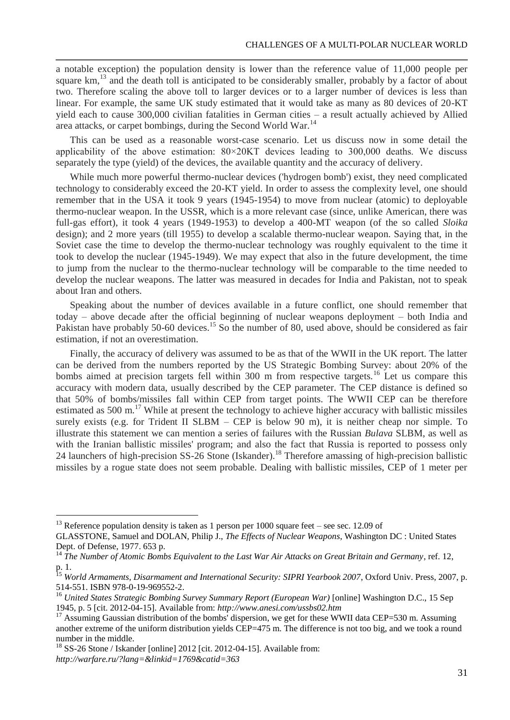a notable exception) the population density is lower than the reference value of 11,000 people per square  $km<sup>13</sup>$  and the death toll is anticipated to be considerably smaller, probably by a factor of about two. Therefore scaling the above toll to larger devices or to a larger number of devices is less than linear. For example, the same UK study estimated that it would take as many as 80 devices of 20-KT yield each to cause 300,000 civilian fatalities in German cities – a result actually achieved by Allied area attacks, or carpet bombings, during the Second World War.<sup>14</sup>

This can be used as a reasonable worst-case scenario. Let us discuss now in some detail the applicability of the above estimation:  $80\times20$ KT devices leading to 300,000 deaths. We discuss separately the type (yield) of the devices, the available quantity and the accuracy of delivery.

While much more powerful thermo-nuclear devices ('hydrogen bomb') exist, they need complicated technology to considerably exceed the 20-KT yield. In order to assess the complexity level, one should remember that in the USA it took 9 years (1945-1954) to move from nuclear (atomic) to deployable thermo-nuclear weapon. In the USSR, which is a more relevant case (since, unlike American, there was full-gas effort), it took 4 years (1949-1953) to develop a 400-MT weapon (of the so called *Sloika* design); and 2 more years (till 1955) to develop a scalable thermo-nuclear weapon. Saying that, in the Soviet case the time to develop the thermo-nuclear technology was roughly equivalent to the time it took to develop the nuclear (1945-1949). We may expect that also in the future development, the time to jump from the nuclear to the thermo-nuclear technology will be comparable to the time needed to develop the nuclear weapons. The latter was measured in decades for India and Pakistan, not to speak about Iran and others.

Speaking about the number of devices available in a future conflict, one should remember that today – above decade after the official beginning of nuclear weapons deployment – both India and Pakistan have probably 50-60 devices.<sup>15</sup> So the number of 80, used above, should be considered as fair estimation, if not an overestimation.

Finally, the accuracy of delivery was assumed to be as that of the WWII in the UK report. The latter can be derived from the numbers reported by the US Strategic Bombing Survey: about 20% of the bombs aimed at precision targets fell within 300 m from respective targets.<sup>16</sup> Let us compare this accuracy with modern data, usually described by the CEP parameter. The CEP distance is defined so that 50% of bombs/missiles fall within CEP from target points. The WWII CEP can be therefore estimated as 500 m.<sup>17</sup> While at present the technology to achieve higher accuracy with ballistic missiles surely exists (e.g. for Trident II SLBM – CEP is below 90 m), it is neither cheap nor simple. To illustrate this statement we can mention a series of failures with the Russian *Bulava* SLBM, as well as with the Iranian ballistic missiles' program; and also the fact that Russia is reported to possess only 24 launchers of high-precision SS-26 Stone (Iskander).<sup>18</sup> Therefore amassing of high-precision ballistic missiles by a rogue state does not seem probable. Dealing with ballistic missiles, CEP of 1 meter per

<sup>&</sup>lt;sup>13</sup> Reference population density is taken as 1 person per 1000 square feet – see sec. 12.09 of

GLASSTONE, Samuel and DOLAN, Philip J., *The Effects of Nuclear Weapons*, Washington DC : United States Dept. of Defense, 1977. 653 p.

<sup>14</sup> *The Number of Atomic Bombs Equivalent to the Last War Air Attacks on Great Britain and Germany*, ref. 12, p. 1.

<sup>&</sup>lt;sup>15</sup> World Armaments, Disarmament and International Security: SIPRI Yearbook 2007, Oxford Univ. Press, 2007, p. 514-551. ISBN 978-0-19-969552-2.

<sup>16</sup> *United States Strategic Bombing Survey Summary Report (European War)* [online] Washington D.C., 15 Sep 1945, p. 5 [cit. 2012-04-15]. Available from: *http://www.anesi.com/ussbs02.htm*

 $17$  Assuming Gaussian distribution of the bombs' dispersion, we get for these WWII data CEP=530 m. Assuming another extreme of the uniform distribution yields CEP=475 m. The difference is not too big, and we took a round number in the middle.

<sup>&</sup>lt;sup>18</sup> SS-26 Stone / Iskander [online] 2012 [cit. 2012-04-15]. Available from: *http://warfare.ru/?lang=&linkid=1769&catid=363*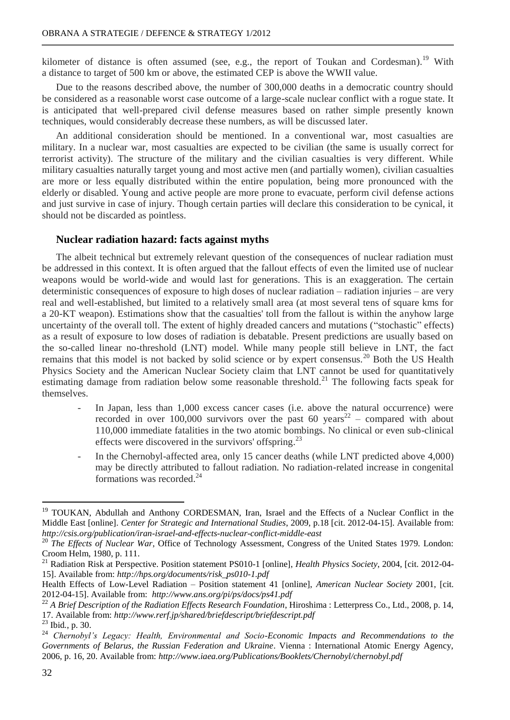kilometer of distance is often assumed (see, e.g., the report of Toukan and Cordesman).<sup>19</sup> With a distance to target of 500 km or above, the estimated CEP is above the WWII value.

Due to the reasons described above, the number of 300,000 deaths in a democratic country should be considered as a reasonable worst case outcome of a large-scale nuclear conflict with a rogue state. It is anticipated that well-prepared civil defense measures based on rather simple presently known techniques, would considerably decrease these numbers, as will be discussed later.

An additional consideration should be mentioned. In a conventional war, most casualties are military. In a nuclear war, most casualties are expected to be civilian (the same is usually correct for terrorist activity). The structure of the military and the civilian casualties is very different. While military casualties naturally target young and most active men (and partially women), civilian casualties are more or less equally distributed within the entire population, being more pronounced with the elderly or disabled. Young and active people are more prone to evacuate, perform civil defense actions and just survive in case of injury. Though certain parties will declare this consideration to be cynical, it should not be discarded as pointless.

#### **Nuclear radiation hazard: facts against myths**

The albeit technical but extremely relevant question of the consequences of nuclear radiation must be addressed in this context. It is often argued that the fallout effects of even the limited use of nuclear weapons would be world-wide and would last for generations. This is an exaggeration. The certain deterministic consequences of exposure to high doses of nuclear radiation – radiation injuries – are very real and well-established, but limited to a relatively small area (at most several tens of square kms for a 20-KT weapon). Estimations show that the casualties' toll from the fallout is within the anyhow large uncertainty of the overall toll. The extent of highly dreaded cancers and mutations ("stochastic" effects) as a result of exposure to low doses of radiation is debatable. Present predictions are usually based on the so-called linear no-threshold (LNT) model. While many people still believe in LNT, the fact remains that this model is not backed by solid science or by expert consensus.<sup>20</sup> Both the US Health Physics Society and the American Nuclear Society claim that LNT cannot be used for quantitatively estimating damage from radiation below some reasonable threshold.<sup>21</sup> The following facts speak for themselves.

- In Japan, less than 1,000 excess cancer cases (i.e. above the natural occurrence) were recorded in over 100,000 survivors over the past 60 years<sup>22</sup> – compared with about 110,000 immediate fatalities in the two atomic bombings. No clinical or even sub-clinical effects were discovered in the survivors' offspring.<sup>23</sup>
- In the Chernobyl-affected area, only 15 cancer deaths (while LNT predicted above 4,000) may be directly attributed to fallout radiation. No radiation-related increase in congenital formations was recorded. $^{24}$

<sup>&</sup>lt;sup>19</sup> TOUKAN, Abdullah and Anthony CORDESMAN, Iran, Israel and the Effects of a Nuclear Conflict in the Middle East [online]. *Center for Strategic and International Studies*, 2009, p.18 [cit. 2012-04-15]. Available from: *http://csis.org/publication/iran-israel-and-effects-nuclear-conflict-middle-east*

<sup>&</sup>lt;sup>20</sup> *The Effects of Nuclear War*, Office of Technology Assessment, Congress of the United States 1979. London: Croom Helm, 1980, p. 111.<br><sup>21</sup> Radiation Risk at Perspect

<sup>21</sup> Radiation Risk at Perspective. Position statement PS010-1 [online], *Health Physics Society*, 2004, [cit. 2012-04- 15]. Available from: *http://hps.org/documents/risk\_ps010-1.pdf*

Health Effects of Low-Level Radiation – Position statement 41 [online], *American Nuclear Society* 2001, [cit. 2012-04-15]. Available from: *http://www.ans.org/pi/ps/docs/ps41.pdf*

<sup>&</sup>lt;sup>22</sup> A Brief Description of the Radiation Effects Research Foundation, Hiroshima : Letterpress Co., Ltd., 2008, p. 14, 17. Available from: *http://www.rerf.jp/shared/briefdescript/briefdescript.pdf*

<sup>23</sup> Ibid*.*, p. 30.

<sup>24</sup> *Chernobyl's Legacy: Health, Environmental and Socio-Economic Impacts and Recommendations to the Governments of Belarus, the Russian Federation and Ukraine*. Vienna : International Atomic Energy Agency, 2006, p. 16, 20. Available from: *http://www.iaea.org/Publications/Booklets/Chernobyl/chernobyl.pdf*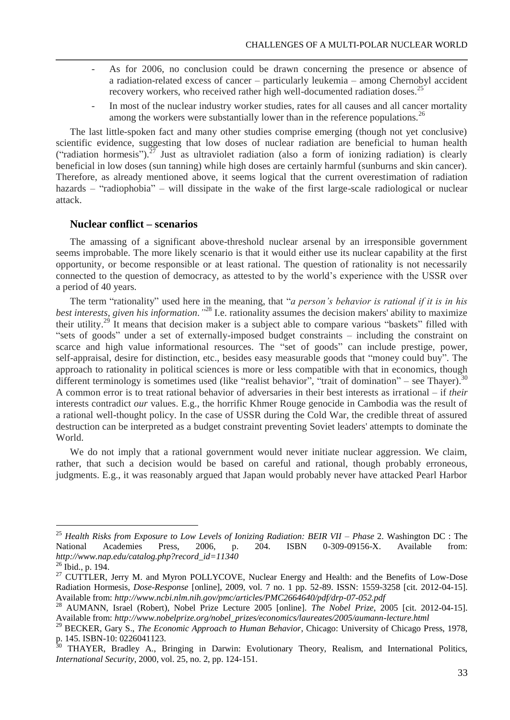- As for 2006, no conclusion could be drawn concerning the presence or absence of a radiation-related excess of cancer – particularly leukemia – among Chernobyl accident recovery workers, who received rather high well-documented radiation doses.<sup>25</sup>
- In most of the nuclear industry worker studies, rates for all causes and all cancer mortality among the workers were substantially lower than in the reference populations.<sup>26</sup>

The last little-spoken fact and many other studies comprise emerging (though not yet conclusive) scientific evidence, suggesting that low doses of nuclear radiation are beneficial to human health ("radiation hormesis").<sup>27</sup> Just as ultraviolet radiation (also a form of ionizing radiation) is clearly beneficial in low doses (sun tanning) while high doses are certainly harmful (sunburns and skin cancer). Therefore, as already mentioned above, it seems logical that the current overestimation of radiation hazards – "radiophobia" – will dissipate in the wake of the first large-scale radiological or nuclear attack.

# **Nuclear conflict – scenarios**

The amassing of a significant above-threshold nuclear arsenal by an irresponsible government seems improbable. The more likely scenario is that it would either use its nuclear capability at the first opportunity, or become responsible or at least rational. The question of rationality is not necessarily connected to the question of democracy, as attested to by the world's experience with the USSR over a period of 40 years.

The term "rationality" used here in the meaning, that "*a person's behavior is rational if it is in his best interests, given his information."* <sup>28</sup> I.e. rationality assumes the decision makers' ability to maximize their utility.<sup>29</sup> It means that decision maker is a subject able to compare various "baskets" filled with "sets of goods" under a set of externally-imposed budget constraints – including the constraint on scarce and high value informational resources. The "set of goods" can include prestige, power, self-appraisal, desire for distinction, etc., besides easy measurable goods that "money could buy". The approach to rationality in political sciences is more or less compatible with that in economics, though different terminology is sometimes used (like "realist behavior", "trait of domination" – see Thayer).<sup>30</sup> A common error is to treat rational behavior of adversaries in their best interests as irrational – if *their* interests contradict *our* values. E.g., the horrific Khmer Rouge genocide in Cambodia was the result of a rational well-thought policy. In the case of USSR during the Cold War, the credible threat of assured destruction can be interpreted as a budget constraint preventing Soviet leaders' attempts to dominate the World.

We do not imply that a rational government would never initiate nuclear aggression. We claim, rather, that such a decision would be based on careful and rational, though probably erroneous, judgments. E.g., it was reasonably argued that Japan would probably never have attacked Pearl Harbor

<sup>25</sup> *Health Risks from Exposure to Low Levels of Ionizing Radiation: BEIR VII – Phase* 2. Washington DC : The National Academies Press, 2006, p. 204. ISBN 0-309-09156-X. Available from: *http://www.nap.edu/catalog.php?record\_id=11340*

<sup>26</sup> Ibid., p. 194.

<sup>&</sup>lt;sup>27</sup> CUTTLER, Jerry M. and Myron POLLYCOVE, Nuclear Energy and Health: and the Benefits of Low-Dose Radiation Hormesis, *Dose-Response* [online], 2009, vol. 7 no. 1 pp. 52-89. ISSN: 1559-3258 [cit. 2012-04-15]. Available from: *http://www.ncbi.nlm.nih.gov/pmc/articles/PMC2664640/pdf/drp-07-052.pdf*

<sup>28</sup> AUMANN, Israel (Robert), Nobel Prize Lecture 2005 [online]. *The Nobel Prize*, 2005 [cit. 2012-04-15]. Available from: *http://www.nobelprize.org/nobel\_prizes/economics/laureates/2005/aumann-lecture.html*

<sup>29</sup> BECKER, Gary S., *The Economic Approach to Human Behavior*, Chicago: University of Chicago Press, 1978, p. 145. ISBN-10: 0226041123.<br> $\frac{30}{25}$  TI AVE

<sup>30</sup> THAYER, Bradley A., Bringing in Darwin: Evolutionary Theory, Realism, and International Politics, *International Security*, 2000, vol. 25, no. 2, pp. 124-151.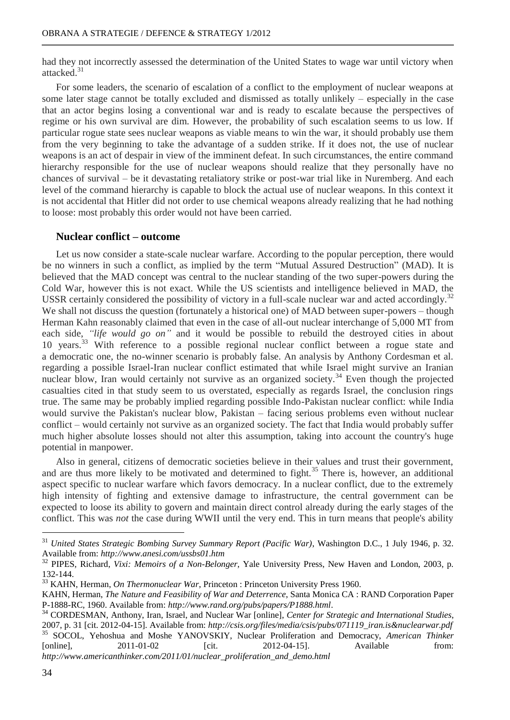had they not incorrectly assessed the determination of the United States to wage war until victory when attacked<sup>31</sup>

For some leaders, the scenario of escalation of a conflict to the employment of nuclear weapons at some later stage cannot be totally excluded and dismissed as totally unlikely – especially in the case that an actor begins losing a conventional war and is ready to escalate because the perspectives of regime or his own survival are dim. However, the probability of such escalation seems to us low. If particular rogue state sees nuclear weapons as viable means to win the war, it should probably use them from the very beginning to take the advantage of a sudden strike. If it does not, the use of nuclear weapons is an act of despair in view of the imminent defeat. In such circumstances, the entire command hierarchy responsible for the use of nuclear weapons should realize that they personally have no chances of survival – be it devastating retaliatory strike or post-war trial like in Nuremberg. And each level of the command hierarchy is capable to block the actual use of nuclear weapons. In this context it is not accidental that Hitler did not order to use chemical weapons already realizing that he had nothing to loose: most probably this order would not have been carried.

# **Nuclear conflict – outcome**

Let us now consider a state-scale nuclear warfare. According to the popular perception, there would be no winners in such a conflict, as implied by the term "Mutual Assured Destruction" (MAD). It is believed that the MAD concept was central to the nuclear standing of the two super-powers during the Cold War, however this is not exact. While the US scientists and intelligence believed in MAD, the USSR certainly considered the possibility of victory in a full-scale nuclear war and acted accordingly.<sup>32</sup> We shall not discuss the question (fortunately a historical one) of MAD between super-powers – though Herman Kahn reasonably claimed that even in the case of all-out nuclear interchange of 5,000 MT from each side, *"life would go on"* and it would be possible to rebuild the destroyed cities in about 10 years.<sup>33</sup> With reference to a possible regional nuclear conflict between a rogue state and a democratic one, the no-winner scenario is probably false. An analysis by Anthony Cordesman et al. regarding a possible Israel-Iran nuclear conflict estimated that while Israel might survive an Iranian nuclear blow, Iran would certainly not survive as an organized society.<sup>34</sup> Even though the projected casualties cited in that study seem to us overstated, especially as regards Israel, the conclusion rings true. The same may be probably implied regarding possible Indo-Pakistan nuclear conflict: while India would survive the Pakistan's nuclear blow, Pakistan – facing serious problems even without nuclear conflict – would certainly not survive as an organized society. The fact that India would probably suffer much higher absolute losses should not alter this assumption, taking into account the country's huge potential in manpower.

Also in general, citizens of democratic societies believe in their values and trust their government, and are thus more likely to be motivated and determined to fight.<sup>35</sup> There is, however, an additional aspect specific to nuclear warfare which favors democracy. In a nuclear conflict, due to the extremely high intensity of fighting and extensive damage to infrastructure, the central government can be expected to loose its ability to govern and maintain direct control already during the early stages of the conflict. This was *not* the case during WWII until the very end. This in turn means that people's ability

<sup>31</sup> *United States Strategic Bombing Survey Summary Report (Pacific War)*, Washington D.C., 1 July 1946, p. 32. Available from: *http://www.anesi.com/ussbs01.htm*

<sup>32</sup> PIPES, Richard, *Vixi: Memoirs of a Non-Belonger*, Yale University Press, New Haven and London, 2003, p. 132-144.

<sup>33</sup> KAHN, Herman, *On Thermonuclear War*, Princeton : Princeton University Press 1960.

KAHN, Herman, *The Nature and Feasibility of War and Deterrence*, Santa Monica CA : RAND Corporation Paper P-1888-RC, 1960. Available from: *http://www.rand.org/pubs/papers/P1888.html*.

<sup>34</sup> CORDESMAN, Anthony, Iran, Israel, and Nuclear War [online], *Center for Strategic and International Studies*, 2007, p. 31 [cit. 2012-04-15]. Available from: *http://csis.org/files/media/csis/pubs/071119\_iran.is&nuclearwar.pdf* <sup>35</sup> SOCOL, Yehoshua and Moshe YANOVSKIY, Nuclear Proliferation and Democracy, *American Thinker* [online], 2011-01-02 [cit. 2012-04-15]. Available from: *http://www.americanthinker.com/2011/01/nuclear\_proliferation\_and\_demo.html*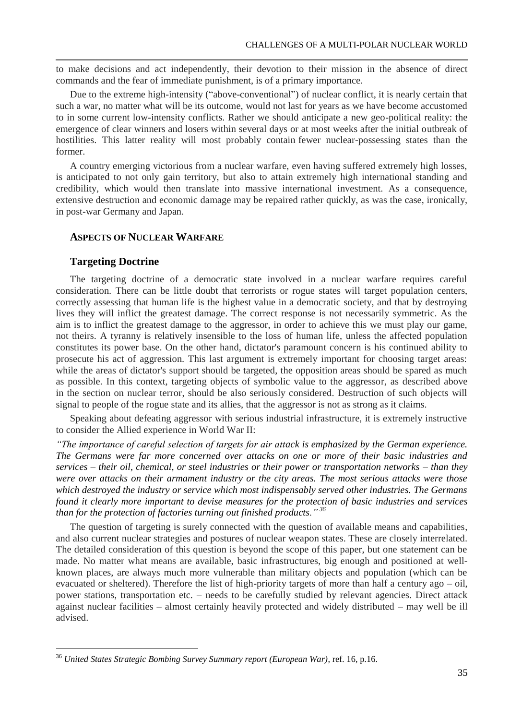to make decisions and act independently, their devotion to their mission in the absence of direct commands and the fear of immediate punishment, is of a primary importance.

Due to the extreme high-intensity ("above-conventional") of nuclear conflict, it is nearly certain that such a war, no matter what will be its outcome, would not last for years as we have become accustomed to in some current low-intensity conflicts. Rather we should anticipate a new geo-political reality: the emergence of clear winners and losers within several days or at most weeks after the initial outbreak of hostilities. This latter reality will most probably contain fewer nuclear-possessing states than the former.

A country emerging victorious from a nuclear warfare, even having suffered extremely high losses, is anticipated to not only gain territory, but also to attain extremely high international standing and credibility, which would then translate into massive international investment. As a consequence, extensive destruction and economic damage may be repaired rather quickly, as was the case, ironically, in post-war Germany and Japan.

# **ASPECTS OF NUCLEAR WARFARE**

# **Targeting Doctrine**

 $\overline{a}$ 

The targeting doctrine of a democratic state involved in a nuclear warfare requires careful consideration. There can be little doubt that terrorists or rogue states will target population centers, correctly assessing that human life is the highest value in a democratic society, and that by destroying lives they will inflict the greatest damage. The correct response is not necessarily symmetric. As the aim is to inflict the greatest damage to the aggressor, in order to achieve this we must play our game, not theirs. A tyranny is relatively insensible to the loss of human life, unless the affected population constitutes its power base. On the other hand, dictator's paramount concern is his continued ability to prosecute his act of aggression. This last argument is extremely important for choosing target areas: while the areas of dictator's support should be targeted, the opposition areas should be spared as much as possible. In this context, targeting objects of symbolic value to the aggressor, as described above in the section on nuclear terror, should be also seriously considered. Destruction of such objects will signal to people of the rogue state and its allies, that the aggressor is not as strong as it claims.

Speaking about defeating aggressor with serious industrial infrastructure, it is extremely instructive to consider the Allied experience in World War II:

*"The importance of careful selection of targets for air attack is emphasized by the German experience. The Germans were far more concerned over attacks on one or more of their basic industries and services – their oil, chemical, or steel industries or their power or transportation networks – than they were over attacks on their armament industry or the city areas. The most serious attacks were those which destroyed the industry or service which most indispensably served other industries. The Germans found it clearly more important to devise measures for the protection of basic industries and services than for the protection of factories turning out finished products." <sup>36</sup>*

The question of targeting is surely connected with the question of available means and capabilities, and also current nuclear strategies and postures of nuclear weapon states. These are closely interrelated. The detailed consideration of this question is beyond the scope of this paper, but one statement can be made. No matter what means are available, basic infrastructures, big enough and positioned at wellknown places, are always much more vulnerable than military objects and population (which can be evacuated or sheltered). Therefore the list of high-priority targets of more than half a century ago – oil, power stations, transportation etc. – needs to be carefully studied by relevant agencies. Direct attack against nuclear facilities – almost certainly heavily protected and widely distributed – may well be ill advised.

<sup>36</sup> *United States Strategic Bombing Survey Summary report (European War)*, ref. 16, p.16.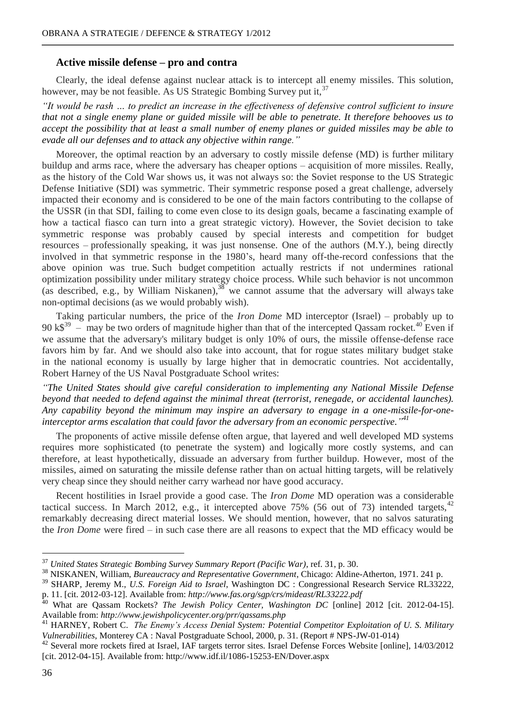### **Active missile defense – pro and contra**

Clearly, the ideal defense against nuclear attack is to intercept all enemy missiles. This solution, however, may be not feasible. As US Strategic Bombing Survey put it,  $37$ 

*"It would be rash … to predict an increase in the effectiveness of defensive control sufficient to insure that not a single enemy plane or guided missile will be able to penetrate. It therefore behooves us to accept the possibility that at least a small number of enemy planes or guided missiles may be able to evade all our defenses and to attack any objective within range."*

Moreover, the optimal reaction by an adversary to costly missile defense (MD) is further military buildup and arms race, where the adversary has cheaper options – acquisition of more missiles. Really, as the history of the Cold War shows us, it was not always so: the Soviet response to the US Strategic Defense Initiative (SDI) was symmetric. Their symmetric response posed a great challenge, adversely impacted their economy and is considered to be one of the main factors contributing to the collapse of the USSR (in that SDI, failing to come even close to its design goals, became a fascinating example of how a tactical fiasco can turn into a great strategic victory). However, the Soviet decision to take symmetric response was probably caused by special interests and competition for budget resources – professionally speaking, it was just nonsense. One of the authors (M.Y.), being directly involved in that symmetric response in the 1980's, heard many off-the-record confessions that the above opinion was true. Such budget competition actually restricts if not undermines rational optimization possibility under military strategy choice process. While such behavior is not uncommon (as described, e.g., by William Niskanen), $38$  we cannot assume that the adversary will always take non-optimal decisions (as we would probably wish).

Taking particular numbers, the price of the *Iron Dome* MD interceptor (Israel) – probably up to 90 k $\beta^{39}$  – may be two orders of magnitude higher than that of the intercepted Qassam rocket.<sup>40</sup> Even if we assume that the adversary's military budget is only 10% of ours, the missile offense-defense race favors him by far. And we should also take into account, that for rogue states military budget stake in the national economy is usually by large higher that in democratic countries. Not accidentally, Robert Harney of the US Naval Postgraduate School writes:

*"The United States should give careful consideration to implementing any National Missile Defense beyond that needed to defend against the minimal threat (terrorist, renegade, or accidental launches). Any capability beyond the minimum may inspire an adversary to engage in a one-missile-for-oneinterceptor arms escalation that could favor the adversary from an economic perspective." 41*

The proponents of active missile defense often argue, that layered and well developed MD systems requires more sophisticated (to penetrate the system) and logically more costly systems, and can therefore, at least hypothetically, dissuade an adversary from further buildup. However, most of the missiles, aimed on saturating the missile defense rather than on actual hitting targets, will be relatively very cheap since they should neither carry warhead nor have good accuracy.

Recent hostilities in Israel provide a good case. The *Iron Dome* MD operation was a considerable tactical success. In March 2012, e.g., it intercepted above 75% (56 out of 73) intended targets, $42$ remarkably decreasing direct material losses. We should mention, however, that no salvos saturating the *Iron Dome* were fired – in such case there are all reasons to expect that the MD efficacy would be

<sup>37</sup> *United States Strategic Bombing Survey Summary Report (Pacific War)*, ref. 31, p. 30.

<sup>38</sup> NISKANEN, William, *Bureaucracy and Representative Government*, Chicago: Aldine-Atherton, 1971. 241 p.

<sup>39</sup> SHARP, Jeremy M., *U.S. Foreign Aid to Israel*, Washington DC : Congressional Research Service RL33222, p. 11. [cit. 2012-03-12]. Available from: *http://www.fas.org/sgp/crs/mideast/RL33222.pdf*

<sup>40</sup> What are Qassam Rockets? *The Jewish Policy Center, Washington DC* [online] 2012 [cit. 2012-04-15]. Available from: *http://www.jewishpolicycenter.org/prr/qassams.php*

<sup>41</sup> HARNEY, Robert C. *The Enemy's Access Denial System: Potential Competitor Exploitation of U. S. Military Vulnerabilities*, Monterey CA : Naval Postgraduate School, 2000, p. 31. (Report # NPS-JW-01-014)

<sup>&</sup>lt;sup>42</sup> Several more rockets fired at Israel, IAF targets terror sites. Israel Defense Forces Website [online], 14/03/2012 [cit. 2012-04-15]. Available from: http://www.idf.il/1086-15253-EN/Dover.aspx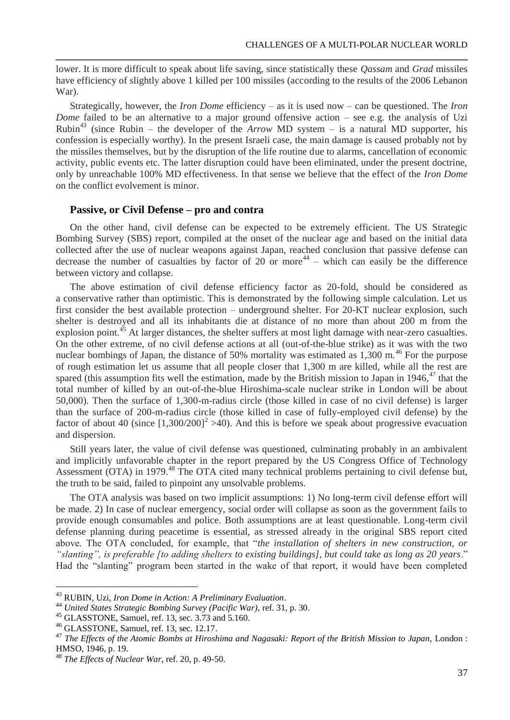lower. It is more difficult to speak about life saving, since statistically these *Qassam* and *Grad* missiles have efficiency of slightly above 1 killed per 100 missiles (according to the results of the 2006 Lebanon War).

Strategically, however, the *Iron Dome* efficiency – as it is used now – can be questioned. The *Iron Dome* failed to be an alternative to a major ground offensive action – see e.g. the analysis of Uzi Rubin<sup>43</sup> (since Rubin – the developer of the *Arrow* MD system – is a natural MD supporter, his confession is especially worthy). In the present Israeli case, the main damage is caused probably not by the missiles themselves, but by the disruption of the life routine due to alarms, cancellation of economic activity, public events etc. The latter disruption could have been eliminated, under the present doctrine, only by unreachable 100% MD effectiveness. In that sense we believe that the effect of the *Iron Dome* on the conflict evolvement is minor.

# **Passive, or Civil Defense – pro and contra**

On the other hand, civil defense can be expected to be extremely efficient. The US Strategic Bombing Survey (SBS) report, compiled at the onset of the nuclear age and based on the initial data collected after the use of nuclear weapons against Japan, reached conclusion that passive defense can decrease the number of casualties by factor of 20 or more<sup>44</sup> – which can easily be the difference between victory and collapse.

The above estimation of civil defense efficiency factor as 20-fold, should be considered as a conservative rather than optimistic. This is demonstrated by the following simple calculation. Let us first consider the best available protection – underground shelter. For 20-KT nuclear explosion, such shelter is destroyed and all its inhabitants die at distance of no more than about 200 m from the explosion point.<sup>45</sup> At larger distances, the shelter suffers at most light damage with near-zero casualties. On the other extreme, of no civil defense actions at all (out-of-the-blue strike) as it was with the two nuclear bombings of Japan, the distance of 50% mortality was estimated as  $1,300$  m.<sup>46</sup> For the purpose of rough estimation let us assume that all people closer that 1,300 m are killed, while all the rest are spared (this assumption fits well the estimation, made by the British mission to Japan in 1946, $47$  that the total number of killed by an out-of-the-blue Hiroshima-scale nuclear strike in London will be about 50,000). Then the surface of 1,300-m-radius circle (those killed in case of no civil defense) is larger than the surface of 200-m-radius circle (those killed in case of fully-employed civil defense) by the factor of about 40 (since  $[1,300/200]^2 > 40$ ). And this is before we speak about progressive evacuation and dispersion.

Still years later, the value of civil defense was questioned, culminating probably in an ambivalent and implicitly unfavorable chapter in the report prepared by the US Congress Office of Technology Assessment (OTA) in 1979.<sup>48</sup> The OTA cited many technical problems pertaining to civil defense but, the truth to be said, failed to pinpoint any unsolvable problems.

The OTA analysis was based on two implicit assumptions: 1) No long-term civil defense effort will be made. 2) In case of nuclear emergency, social order will collapse as soon as the government fails to provide enough consumables and police. Both assumptions are at least questionable. Long-term civil defense planning during peacetime is essential, as stressed already in the original SBS report cited above. The OTA concluded, for example, that "*the installation of shelters in new construction, or "slanting", is preferable [to adding shelters to existing buildings], but could take as long as 20 years*." Had the "slanting" program been started in the wake of that report, it would have been completed

<sup>43</sup> RUBIN, Uzi, *Iron Dome in Action: A Preliminary Evaluation*.

<sup>44</sup> *United States Strategic Bombing Survey (Pacific War)*, ref. 31, p. 30.

<sup>45</sup> GLASSTONE, Samuel, ref. 13, sec. 3.73 and 5.160.

<sup>46</sup> GLASSTONE, Samuel, ref. 13, sec. 12.17.

<sup>&</sup>lt;sup>47</sup> The Effects of the Atomic Bombs at Hiroshima and Nagasaki: Report of the British Mission to Japan, London : HMSO, 1946, p. 19.

<sup>48</sup> *The Effects of Nuclear War*, ref. 20, p. 49-50.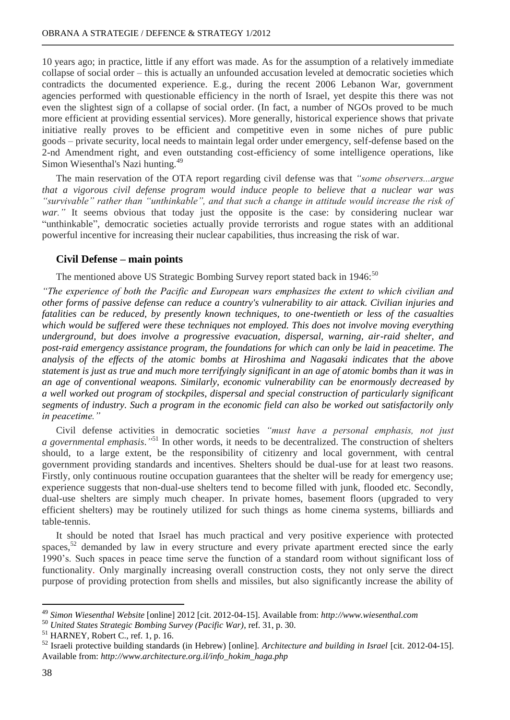10 years ago; in practice, little if any effort was made. As for the assumption of a relatively immediate collapse of social order – this is actually an unfounded accusation leveled at democratic societies which contradicts the documented experience. E.g., during the recent 2006 Lebanon War, government agencies performed with questionable efficiency in the north of Israel, yet despite this there was not even the slightest sign of a collapse of social order. (In fact, a number of NGOs proved to be much more efficient at providing essential services). More generally, historical experience shows that private initiative really proves to be efficient and competitive even in some niches of pure public goods – private security, local needs to maintain legal order under emergency, self-defense based on the 2-nd Amendment right, and even outstanding cost-efficiency of some intelligence operations, like Simon Wiesenthal's Nazi hunting.<sup>49</sup>

The main reservation of the OTA report regarding civil defense was that *"some observers...argue that a vigorous civil defense program would induce people to believe that a nuclear war was "survivable" rather than "unthinkable", and that such a change in attitude would increase the risk of war.*" It seems obvious that today just the opposite is the case: by considering nuclear war "unthinkable", democratic societies actually provide terrorists and rogue states with an additional powerful incentive for increasing their nuclear capabilities, thus increasing the risk of war.

# **Civil Defense – main points**

The mentioned above US Strategic Bombing Survey report stated back in  $1946$ :<sup>50</sup>

*"The experience of both the Pacific and European wars emphasizes the extent to which civilian and other forms of passive defense can reduce a country's vulnerability to air attack. Civilian injuries and fatalities can be reduced, by presently known techniques, to one-twentieth or less of the casualties which would be suffered were these techniques not employed. This does not involve moving everything underground, but does involve a progressive evacuation, dispersal, warning, air-raid shelter, and post-raid emergency assistance program, the foundations for which can only be laid in peacetime. The analysis of the effects of the atomic bombs at Hiroshima and Nagasaki indicates that the above statement is just as true and much more terrifyingly significant in an age of atomic bombs than it was in an age of conventional weapons. Similarly, economic vulnerability can be enormously decreased by a well worked out program of stockpiles, dispersal and special construction of particularly significant segments of industry. Such a program in the economic field can also be worked out satisfactorily only in peacetime."*

Civil defense activities in democratic societies *"must have a personal emphasis, not just a governmental emphasis*.*"* <sup>51</sup> In other words, it needs to be decentralized. The construction of shelters should, to a large extent, be the responsibility of citizenry and local government, with central government providing standards and incentives. Shelters should be dual-use for at least two reasons. Firstly, only continuous routine occupation guarantees that the shelter will be ready for emergency use; experience suggests that non-dual-use shelters tend to become filled with junk, flooded etc. Secondly, dual-use shelters are simply much cheaper. In private homes, basement floors (upgraded to very efficient shelters) may be routinely utilized for such things as home cinema systems, billiards and table-tennis.

It should be noted that Israel has much practical and very positive experience with protected spaces, $52$  demanded by law in every structure and every private apartment erected since the early 1990's. Such spaces in peace time serve the function of a standard room without significant loss of functionality. Only marginally increasing overall construction costs, they not only serve the direct purpose of providing protection from shells and missiles, but also significantly increase the ability of

<sup>49</sup> *Simon Wiesenthal Website* [online] 2012 [cit. 2012-04-15]. Available from: *http://www.wiesenthal.com*

<sup>50</sup> *United States Strategic Bombing Survey (Pacific War)*, ref. 31, p. 30.

 $<sup>51</sup>$  HARNEY, Robert C., ref. 1, p. 16.</sup>

<sup>52</sup> Israeli protective building standards (in Hebrew) [online]*. Architecture and building in Israel* [cit. 2012-04-15]. Available from: *http://www.architecture.org.il/info\_hokim\_haga.php*